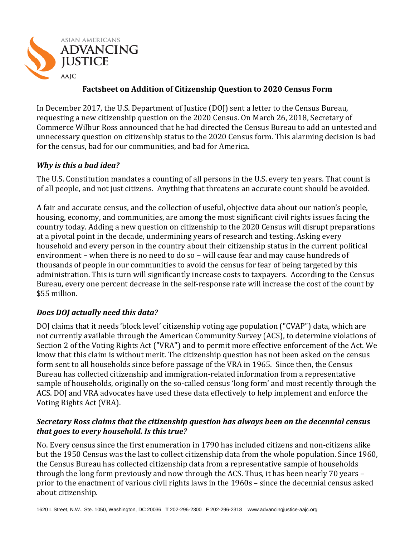

## **Factsheet on Addition of Citizenship Question to 2020 Census Form**

In December 2017, the U.S. Department of Justice (DOJ) sent a letter to the Census Bureau, requesting a new citizenship question on the 2020 Census. On March 26, 2018, Secretary of Commerce Wilbur Ross announced that he had directed the Census Bureau to add an untested and unnecessary question on citizenship status to the 2020 Census form. This alarming decision is bad for the census, bad for our communities, and bad for America.

### *Why is this a bad idea?*

The U.S. Constitution mandates a counting of all persons in the U.S. every ten years. That count is of all people, and not just citizens. Anything that threatens an accurate count should be avoided.

A fair and accurate census, and the collection of useful, objective data about our nation's people, housing, economy, and communities, are among the most significant civil rights issues facing the country today. Adding a new question on citizenship to the 2020 Census will disrupt preparations at a pivotal point in the decade, undermining years of research and testing. Asking every household and every person in the country about their citizenship status in the current political environment – when there is no need to do so – will cause fear and may cause hundreds of thousands of people in our communities to avoid the census for fear of being targeted by this administration. This is turn will significantly increase costs to taxpayers. According to the Census Bureau, every one percent decrease in the self-response rate will increase the cost of the count by \$55 million.

# *Does DOJ actually need this data?*

DOJ claims that it needs 'block level' citizenship voting age population ("CVAP") data, which are not currently available through the American Community Survey (ACS), to determine violations of Section 2 of the Voting Rights Act ("VRA") and to permit more effective enforcement of the Act. We know that this claim is without merit. The citizenship question has not been asked on the census form sent to all households since before passage of the VRA in 1965. Since then, the Census Bureau has collected citizenship and immigration-related information from a representative sample of households, originally on the so-called census 'long form' and most recently through the ACS. DOJ and VRA advocates have used these data effectively to help implement and enforce the Voting Rights Act (VRA).

#### *Secretary Ross claims that the citizenship question has always been on the decennial census that goes to every household. Is this true?*

No. Every census since the first enumeration in 1790 has included citizens and non-citizens alike but the 1950 Census was the last to collect citizenship data from the whole population. Since 1960, the Census Bureau has collected citizenship data from a representative sample of households through the long form previously and now through the ACS. Thus, it has been nearly 70 years – prior to the enactment of various civil rights laws in the 1960s – since the decennial census asked about citizenship.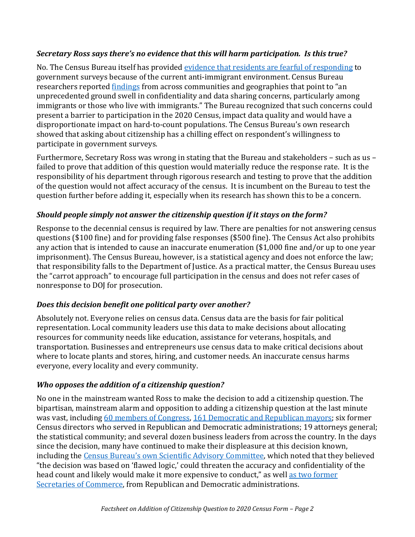### *Secretary Ross says there's no evidence that this will harm participation. Is this true?*

No. The Census Bureau itself has provided [evidence that residents are fearful of responding](https://www2.census.gov/cac/nac/meetings/2017-11/Memo-Regarding-Respondent-Confidentiality-Concerns.pdf) to government surveys because of the current anti-immigrant environment. Census Bureau researchers reported [findings](https://www2.census.gov/cac/nac/meetings/2017-11/Meyers-NAC-Confidentiality-Presentation.pdf) from across communities and geographies that point to "an unprecedented ground swell in confidentiality and data sharing concerns, particularly among immigrants or those who live with immigrants." The Bureau recognized that such concerns could present a barrier to participation in the 2020 Census, impact data quality and would have a disproportionate impact on hard-to-count populations. The Census Bureau's own research showed that asking about citizenship has a chilling effect on respondent's willingness to participate in government surveys.

Furthermore, Secretary Ross was wrong in stating that the Bureau and stakeholders – such as us – failed to prove that addition of this question would materially reduce the response rate. It is the responsibility of his department through rigorous research and testing to prove that the addition of the question would not affect accuracy of the census. It is incumbent on the Bureau to test the question further before adding it, especially when its research has shown this to be a concern.

### *Should people simply not answer the citizenship question if it stays on the form?*

Response to the decennial census is required by law. There are penalties for not answering census questions (\$100 fine) and for providing false responses (\$500 fine). The Census Act also prohibits any action that is intended to cause an inaccurate enumeration (\$1,000 fine and/or up to one year imprisonment). The Census Bureau, however, is a statistical agency and does not enforce the law; that responsibility falls to the Department of Justice. As a practical matter, the Census Bureau uses the "carrot approach" to encourage full participation in the census and does not refer cases of nonresponse to DOJ for prosecution.

### *Does this decision benefit one political party over another?*

Absolutely not. Everyone relies on census data. Census data are the basis for fair political representation. Local community leaders use this data to make decisions about allocating resources for community needs like education, assistance for veterans, hospitals, and transportation. Businesses and entrepreneurs use census data to make critical decisions about where to locate plants and stores, hiring, and customer needs. An inaccurate census harms everyone, every locality and every community.

### *Who opposes the addition of a citizenship question?*

No one in the mainstream wanted Ross to make the decision to add a citizenship question. The bipartisan, mainstream alarm and opposition to adding a citizenship question at the last minute was vast, includin[g 60 members of Congress,](https://jayapal.house.gov/media/press-releases/jayapal-chu-grijalva-richmond-call-sec-ross-reject-citizenship-questions-2020) [161 Democratic and Republican mayors;](https://www.usmayors.org/2018/02/06/over-160-mayors-to-secretary-of-commerce-ross-dont-undercut-cities-work-with-us-to-ensure-u-s-cities-are-treated-fairly-in-the-2020-census/) six former Census directors who served in Republican and Democratic administrations; 19 attorneys general; the statistical community; and several dozen business leaders from across the country. In the days since the decision, many have continued to make their displeasure at this decision known, including the [Census Bureau's own Scientific Advisory Committee,](https://www.nytimes.com/2018/03/30/us/census-bureau-citizenship.html?smid=tw-share) which noted that they believed "the decision was based on 'flawed logic,' could threaten the accuracy and confidentiality of the head count and likely would make it more expensive to conduct," as well as two [former](https://www.bloomberg.com/view/articles/2018-04-04/u-s-census-is-not-about-citizenship)  [Secretaries of Commerce,](https://www.bloomberg.com/view/articles/2018-04-04/u-s-census-is-not-about-citizenship) from Republican and Democratic administrations.